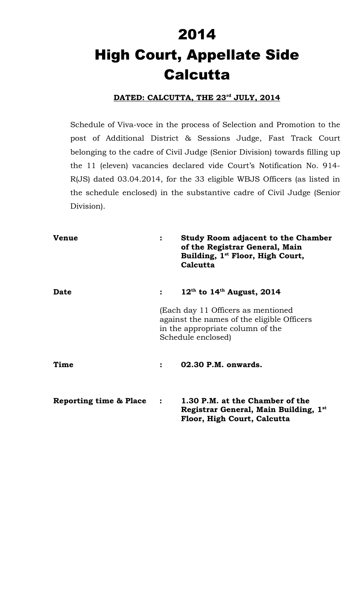# 2014 High Court, Appellate Side **Calcutta**

# **DATED: CALCUTTA, THE 23rd JULY, 2014**

Schedule of Viva-voce in the process of Selection and Promotion to the post of Additional District & Sessions Judge, Fast Track Court belonging to the cadre of Civil Judge (Senior Division) towards filling up the 11 (eleven) vacancies declared vide Court's Notification No. 914- R(JS) dated 03.04.2014, for the 33 eligible WBJS Officers (as listed in the schedule enclosed) in the substantive cadre of Civil Judge (Senior Division).

| <b>Venue</b>           | $\ddot{\cdot}$                                                                                                                             | <b>Study Room adjacent to the Chamber</b><br>of the Registrar General, Main<br>Building, 1 <sup>st</sup> Floor, High Court,<br>Calcutta |
|------------------------|--------------------------------------------------------------------------------------------------------------------------------------------|-----------------------------------------------------------------------------------------------------------------------------------------|
| <b>Date</b>            |                                                                                                                                            | $12^{\text{th}}$ to $14^{\text{th}}$ August, 2014                                                                                       |
|                        | (Each day 11 Officers as mentioned<br>against the names of the eligible Officers<br>in the appropriate column of the<br>Schedule enclosed) |                                                                                                                                         |
| Time                   |                                                                                                                                            | 02.30 P.M. onwards.                                                                                                                     |
| Reporting time & Place | $\ddot{\cdot}$                                                                                                                             | 1.30 P.M. at the Chamber of the<br>Registrar General, Main Building, 1st<br>Floor, High Court, Calcutta                                 |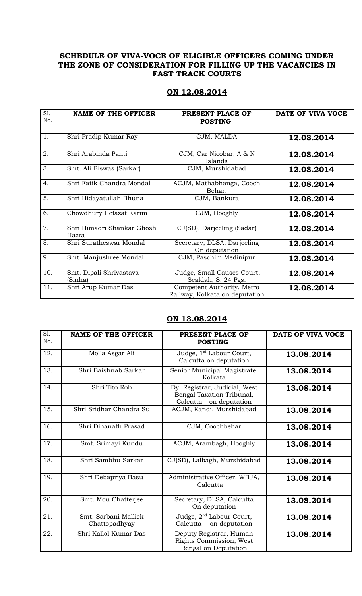## **SCHEDULE OF VIVA-VOCE OF ELIGIBLE OFFICERS COMING UNDER THE ZONE OF CONSIDERATION FOR FILLING UP THE VACANCIES IN FAST TRACK COURTS**

| ON 12.08.2014 |
|---------------|
|---------------|

| S1.<br>No. | <b>NAME OF THE OFFICER</b>          | PRESENT PLACE OF<br><b>POSTING</b>                           | DATE OF VIVA-VOCE |
|------------|-------------------------------------|--------------------------------------------------------------|-------------------|
| 1.         | Shri Pradip Kumar Ray               | CJM, MALDA                                                   | 12.08.2014        |
| 2.         | Shri Arabinda Panti                 | CJM, Car Nicobar, A & N<br>Islands                           | 12.08.2014        |
| 3.         | Smt. Ali Biswas (Sarkar)            | CJM, Murshidabad                                             | 12.08.2014        |
| 4.         | Shri Fatik Chandra Mondal           | ACJM, Mathabhanga, Cooch<br>Behar.                           | 12.08.2014        |
| 5.         | Shri Hidayatullah Bhutia            | CJM, Bankura                                                 | 12.08.2014        |
| 6.         | Chowdhury Hefazat Karim             | CJM, Hooghly                                                 | 12.08.2014        |
| 7.         | Shri Himadri Shankar Ghosh<br>Hazra | CJ(SD), Darjeeling (Sadar)                                   | 12.08.2014        |
| 8.         | Shri Suratheswar Mondal             | Secretary, DLSA, Darjeeling<br>On deputation                 | 12.08.2014        |
| 9.         | Smt. Manjushree Mondal              | CJM, Paschim Medinipur                                       | 12.08.2014        |
| 10.        | Smt. Dipali Shrivastava<br>(Sinha)  | Judge, Small Causes Court,<br>Sealdah, S. 24 Pgs.            | 12.08.2014        |
| 11.        | Shri Arup Kumar Das                 | Competent Authority, Metro<br>Railway, Kolkata on deputation | 12.08.2014        |

### **ON 13.08.2014**

| S1.<br>No. | <b>NAME OF THE OFFICER</b>            | PRESENT PLACE OF<br><b>POSTING</b>                                                     | DATE OF VIVA-VOCE |
|------------|---------------------------------------|----------------------------------------------------------------------------------------|-------------------|
| 12.        | Molla Asgar Ali                       | Judge, 1 <sup>st</sup> Labour Court,<br>Calcutta on deputation                         | 13.08.2014        |
| 13.        | Shri Baishnab Sarkar                  | Senior Municipal Magistrate,<br>Kolkata                                                | 13.08.2014        |
| 14.        | Shri Tito Rob                         | Dy. Registrar, Judicial, West<br>Bengal Taxation Tribunal,<br>Calcutta - on deputation | 13.08.2014        |
| 15.        | Shri Sridhar Chandra Su               | ACJM, Kandi, Murshidabad                                                               | 13.08.2014        |
| 16.        | Shri Dinanath Prasad                  | CJM, Coochbehar                                                                        | 13.08.2014        |
| 17.        | Smt. Srimayi Kundu                    | ACJM, Arambagh, Hooghly                                                                | 13.08.2014        |
| 18.        | Shri Sambhu Sarkar                    | CJ(SD), Lalbagh, Murshidabad                                                           | 13.08.2014        |
| 19.        | Shri Debapriya Basu                   | Administrative Officer, WBJA,<br>Calcutta                                              | 13.08.2014        |
| 20.        | Smt. Mou Chatterjee                   | Secretary, DLSA, Calcutta<br>On deputation                                             | 13.08.2014        |
| 21.        | Smt. Sarbani Mallick<br>Chattopadhyay | Judge, 2 <sup>nd</sup> Labour Court,<br>Calcutta - on deputation                       | 13.08.2014        |
| 22.        | Shri Kallol Kumar Das                 | Deputy Registrar, Human<br>Rights Commission, West<br>Bengal on Deputation             | 13.08.2014        |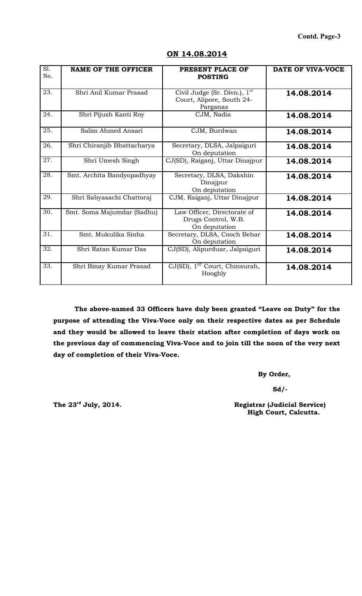| S1.<br>No. | <b>NAME OF THE OFFICER</b>  | PRESENT PLACE OF<br><b>POSTING</b>                                      | DATE OF VIVA-VOCE |
|------------|-----------------------------|-------------------------------------------------------------------------|-------------------|
| 23.        | Shri Anil Kumar Prasad      | Civil Judge (Sr. Divn.), $1st$<br>Court, Alipore, South 24-<br>Parganas | 14.08.2014        |
| 24.        | Shri Pijush Kanti Roy       | CJM, Nadia                                                              | 14.08.2014        |
| 25.        | Salim Ahmed Ansari          | CJM, Burdwan                                                            | 14.08.2014        |
| 26.        | Shri Chiranjib Bhattacharya | Secretary, DLSA, Jalpaiguri<br>On deputation                            | 14.08.2014        |
| 27.        | Shri Umesh Singh            | CJ(SD), Raiganj, Uttar Dinajpur                                         | 14.08.2014        |
| 28.        | Smt. Archita Bandyopadhyay  | Secretary, DLSA, Dakshin<br>Dinajpur<br>On deputation                   | 14.08.2014        |
| 29.        | Shri Sabyasachi Chattoraj   | CJM, Raiganj, Uttar Dinajpur                                            | 14.08.2014        |
| 30.        | Smt. Soma Majumdar (Sadhu)  | Law Officer, Directorate of<br>Drugs Control, W.B.<br>On deputation     | 14.08.2014        |
| 31.        | Smt. Mukulika Sinha         | Secretary, DLSA, Cooch Behar<br>On deputation                           | 14.08.2014        |
| 32.        | Shri Ratan Kumar Das        | CJ(SD), Alipurduar, Jalpaiguri                                          | 14.08.2014        |
| 33.        | Shri Binay Kumar Prasad     | CJ(SD), 1 <sup>ST</sup> Court, Chinsurah,<br>Hooghly                    | 14.08.2014        |

#### **ON 14.08.2014**

**The above-named 33 Officers have duly been granted "Leave on Duty" for the purpose of attending the Viva-Voce only on their respective dates as per Schedule and they would be allowed to leave their station after completion of days work on the previous day of commencing Viva-Voce and to join till the noon of the very next day of completion of their Viva-Voce.**

 **By Order,**

 **Sd/-**

The 23<sup>rd</sup> July, 2014. **Registrar (Judicial Service) High Court, Calcutta.**